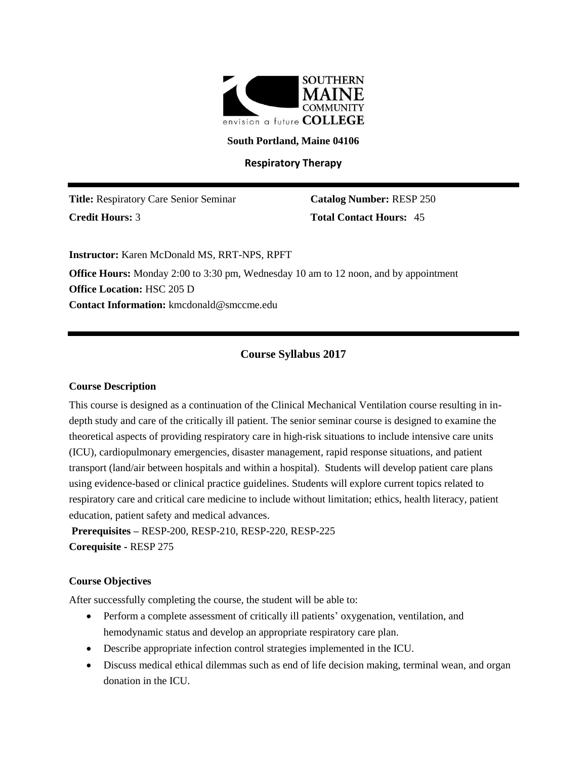

#### **South Portland, Maine 04106**

## **Respiratory Therapy**

**Title:** Respiratory Care Senior Seminar **Catalog Number:** RESP 250 **Credit Hours:** 3 **Total Contact Hours:** 45

**Instructor:** Karen McDonald MS, RRT-NPS, RPFT

**Office Hours:** Monday 2:00 to 3:30 pm, Wednesday 10 am to 12 noon, and by appointment **Office Location:** HSC 205 D **Contact Information:** kmcdonald@smccme.edu

# **Course Syllabus 2017**

#### **Course Description**

This course is designed as a continuation of the Clinical Mechanical Ventilation course resulting in indepth study and care of the critically ill patient. The senior seminar course is designed to examine the theoretical aspects of providing respiratory care in high-risk situations to include intensive care units (ICU), cardiopulmonary emergencies, disaster management, rapid response situations, and patient transport (land/air between hospitals and within a hospital). Students will develop patient care plans using evidence-based or clinical practice guidelines. Students will explore current topics related to respiratory care and critical care medicine to include without limitation; ethics, health literacy, patient education, patient safety and medical advances.

**Prerequisites –** RESP-200, RESP-210, RESP-220, RESP-225 **Corequisite -** RESP 275

### **Course Objectives**

After successfully completing the course, the student will be able to:

- Perform a complete assessment of critically ill patients' oxygenation, ventilation, and hemodynamic status and develop an appropriate respiratory care plan.
- Describe appropriate infection control strategies implemented in the ICU.
- Discuss medical ethical dilemmas such as end of life decision making, terminal wean, and organ donation in the ICU.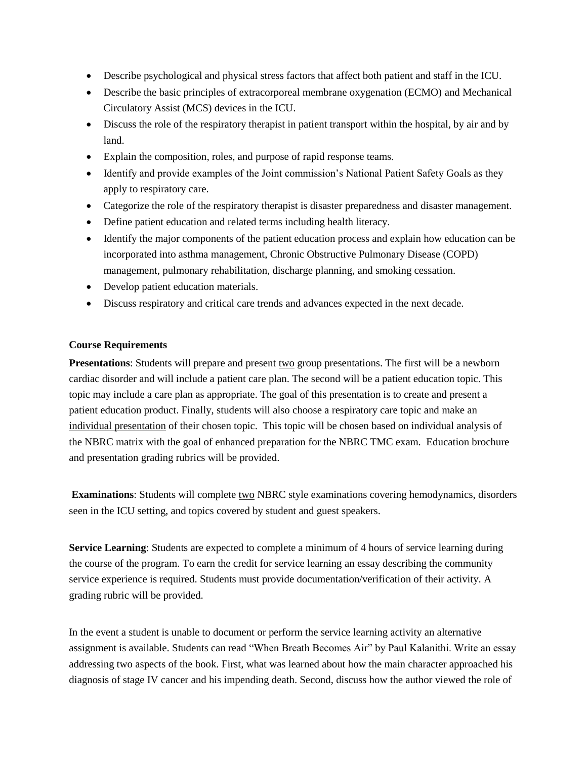- Describe psychological and physical stress factors that affect both patient and staff in the ICU.
- Describe the basic principles of extracorporeal membrane oxygenation (ECMO) and Mechanical Circulatory Assist (MCS) devices in the ICU.
- Discuss the role of the respiratory therapist in patient transport within the hospital, by air and by land.
- Explain the composition, roles, and purpose of rapid response teams.
- Identify and provide examples of the Joint commission's National Patient Safety Goals as they apply to respiratory care.
- Categorize the role of the respiratory therapist is disaster preparedness and disaster management.
- Define patient education and related terms including health literacy.
- Identify the major components of the patient education process and explain how education can be incorporated into asthma management, Chronic Obstructive Pulmonary Disease (COPD) management, pulmonary rehabilitation, discharge planning, and smoking cessation.
- Develop patient education materials.
- Discuss respiratory and critical care trends and advances expected in the next decade.

### **Course Requirements**

**Presentations**: Students will prepare and present two group presentations. The first will be a newborn cardiac disorder and will include a patient care plan. The second will be a patient education topic. This topic may include a care plan as appropriate. The goal of this presentation is to create and present a patient education product. Finally, students will also choose a respiratory care topic and make an individual presentation of their chosen topic. This topic will be chosen based on individual analysis of the NBRC matrix with the goal of enhanced preparation for the NBRC TMC exam. Education brochure and presentation grading rubrics will be provided.

**Examinations**: Students will complete two NBRC style examinations covering hemodynamics, disorders seen in the ICU setting, and topics covered by student and guest speakers.

**Service Learning**: Students are expected to complete a minimum of 4 hours of service learning during the course of the program. To earn the credit for service learning an essay describing the community service experience is required. Students must provide documentation/verification of their activity. A grading rubric will be provided.

In the event a student is unable to document or perform the service learning activity an alternative assignment is available. Students can read "When Breath Becomes Air" by Paul Kalanithi. Write an essay addressing two aspects of the book. First, what was learned about how the main character approached his diagnosis of stage IV cancer and his impending death. Second, discuss how the author viewed the role of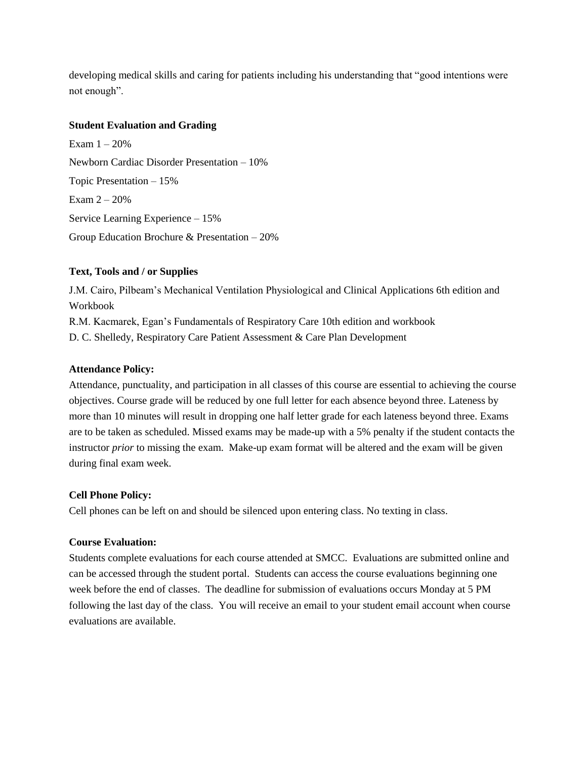developing medical skills and caring for patients including his understanding that "good intentions were not enough".

### **Student Evaluation and Grading**

Exam  $1 - 20%$ Newborn Cardiac Disorder Presentation – 10% Topic Presentation – 15% Exam 2 – 20% Service Learning Experience – 15% Group Education Brochure & Presentation – 20%

# **Text, Tools and / or Supplies**

J.M. Cairo, Pilbeam's Mechanical Ventilation Physiological and Clinical Applications 6th edition and Workbook

R.M. Kacmarek, Egan's Fundamentals of Respiratory Care 10th edition and workbook

D. C. Shelledy, Respiratory Care Patient Assessment & Care Plan Development

## **Attendance Policy:**

Attendance, punctuality, and participation in all classes of this course are essential to achieving the course objectives. Course grade will be reduced by one full letter for each absence beyond three. Lateness by more than 10 minutes will result in dropping one half letter grade for each lateness beyond three. Exams are to be taken as scheduled. Missed exams may be made-up with a 5% penalty if the student contacts the instructor *prior* to missing the exam. Make-up exam format will be altered and the exam will be given during final exam week.

## **Cell Phone Policy:**

Cell phones can be left on and should be silenced upon entering class. No texting in class.

## **Course Evaluation:**

Students complete evaluations for each course attended at SMCC. Evaluations are submitted online and can be accessed through the student portal. Students can access the course evaluations beginning one week before the end of classes. The deadline for submission of evaluations occurs Monday at 5 PM following the last day of the class. You will receive an email to your student email account when course evaluations are available.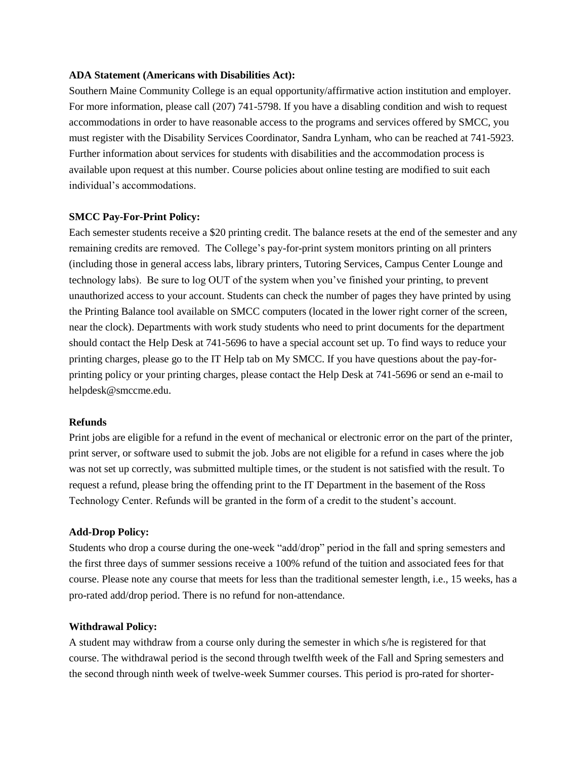#### **ADA Statement (Americans with Disabilities Act):**

Southern Maine Community College is an equal opportunity/affirmative action institution and employer. For more information, please call (207) 741-5798. If you have a disabling condition and wish to request accommodations in order to have reasonable access to the programs and services offered by SMCC, you must register with the Disability Services Coordinator, Sandra Lynham, who can be reached at 741-5923. Further information about services for students with disabilities and the accommodation process is available upon request at this number. Course policies about online testing are modified to suit each individual's accommodations.

### **SMCC Pay-For-Print Policy:**

Each semester students receive a \$20 printing credit. The balance resets at the end of the semester and any remaining credits are removed. The College's pay-for-print system monitors printing on all printers (including those in general access labs, library printers, Tutoring Services, Campus Center Lounge and technology labs). Be sure to log OUT of the system when you've finished your printing, to prevent unauthorized access to your account. Students can check the number of pages they have printed by using the Printing Balance tool available on SMCC computers (located in the lower right corner of the screen, near the clock). Departments with work study students who need to print documents for the department should contact the Help Desk at 741-5696 to have a special account set up. To find ways to reduce your printing charges, please go to the IT Help tab on My SMCC. If you have questions about the pay-forprinting policy or your printing charges, please contact the Help Desk at 741-5696 or send an e-mail to helpdesk@smccme.edu.

### **Refunds**

Print jobs are eligible for a refund in the event of mechanical or electronic error on the part of the printer, print server, or software used to submit the job. Jobs are not eligible for a refund in cases where the job was not set up correctly, was submitted multiple times, or the student is not satisfied with the result. To request a refund, please bring the offending print to the IT Department in the basement of the Ross Technology Center. Refunds will be granted in the form of a credit to the student's account.

### **Add-Drop Policy:**

Students who drop a course during the one-week "add/drop" period in the fall and spring semesters and the first three days of summer sessions receive a 100% refund of the tuition and associated fees for that course. Please note any course that meets for less than the traditional semester length, i.e., 15 weeks, has a pro-rated add/drop period. There is no refund for non-attendance.

### **Withdrawal Policy:**

A student may withdraw from a course only during the semester in which s/he is registered for that course. The withdrawal period is the second through twelfth week of the Fall and Spring semesters and the second through ninth week of twelve-week Summer courses. This period is pro-rated for shorter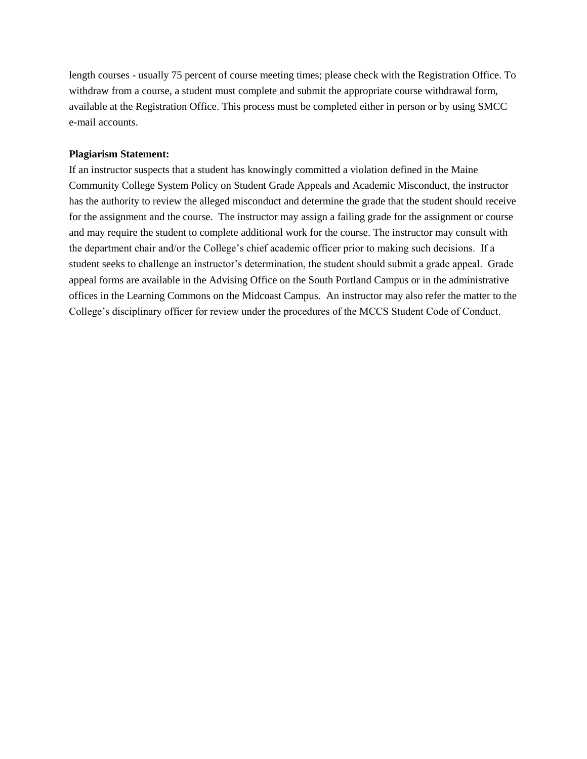length courses - usually 75 percent of course meeting times; please check with the Registration Office. To withdraw from a course, a student must complete and submit the appropriate course withdrawal form, available at the Registration Office. This process must be completed either in person or by using SMCC e-mail accounts.

#### **Plagiarism Statement:**

If an instructor suspects that a student has knowingly committed a violation defined in the Maine Community College System Policy on Student Grade Appeals and Academic Misconduct, the instructor has the authority to review the alleged misconduct and determine the grade that the student should receive for the assignment and the course. The instructor may assign a failing grade for the assignment or course and may require the student to complete additional work for the course. The instructor may consult with the department chair and/or the College's chief academic officer prior to making such decisions. If a student seeks to challenge an instructor's determination, the student should submit a grade appeal. Grade appeal forms are available in the Advising Office on the South Portland Campus or in the administrative offices in the Learning Commons on the Midcoast Campus. An instructor may also refer the matter to the College's disciplinary officer for review under the procedures of the MCCS Student Code of Conduct.